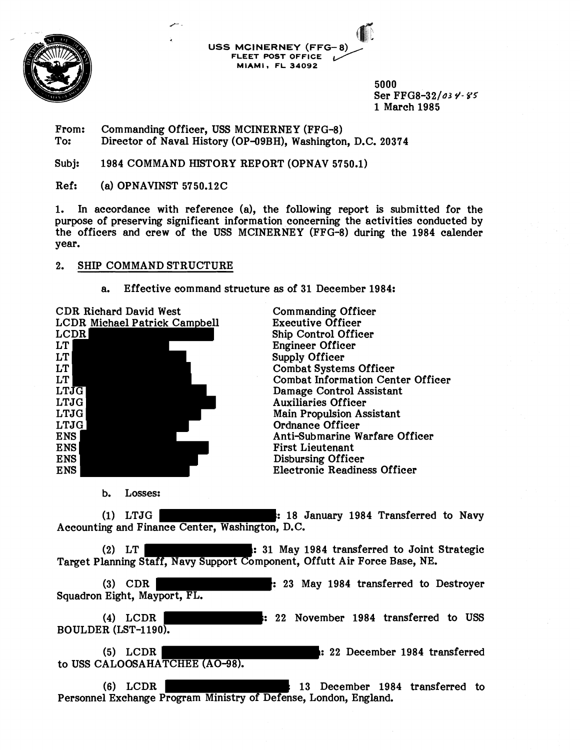

**USS MCINERNEY (FFG-8) FLEET POST OFFICE** - **MIAMI, FL 34092** 

> 5000 Ser FFG8-32/03 **V- g5**  1 March 1985

From: Commanding Officer, USS MCINERNEY (FFG-8)<br>To: Director of Naval History (OP-09BH). Washington Director of Naval History (OP-09BH), Washington, D.C. 20374

Subj: 1984 COMMAND HISTORY REPORT (OPNAV 5750.1)

Ref: (a) OPNAVINST 5750.12C

1. In accordance with reference (a), the following report is submitted for the purpose of preserving significant information concerning the activities conducted by the officers and crew of the USS MCINERNEY (FFG-8) during the 1984 calender year.

## 2. SHIP COMMAND STRUCTURE

a. Effective command structure as of 31 December 1984:



Commanding Officer Executive Officer Ship Control Officer Engineer Officer Supply Officer Combat Systems Officer Combat Information Center Officer Damage Control Assistant Auxiliaries Officer Main Propulsion Assistant Ordnance Officer Anti-Submarine Warfare Officer First Lieutenant Disbursing Officer Electronic Readiness Officer

b. Losses:

(1) LTJG : 18 January 1984 Transferred to Navy Accounting and Finance Center, Washington, D.C.

(2) LT : 31 May 1984 transferred to Joint Strategic Target Planning Staff, Navy Support Component, Offutt Air Force Base, NE.

(3) CDR : 23 May 1984 transferred to Destroyer Squadron Eight, Mayport, FL.

(4) LCDR : 22 November 1984 transferred to USS BOULDER (LST-1190).

(5) LCDR Internal of the contract of the contract of the contract of the contract of the contract of the contract of the contract of the contract of the contract of the contract of the contract of the contract of the contr to USS CALOOSAHATCHEE (AO-98).

(6) LCDR 13 December 1984 transferred to Personnel Exchange Program Ministry of Defense, London, England.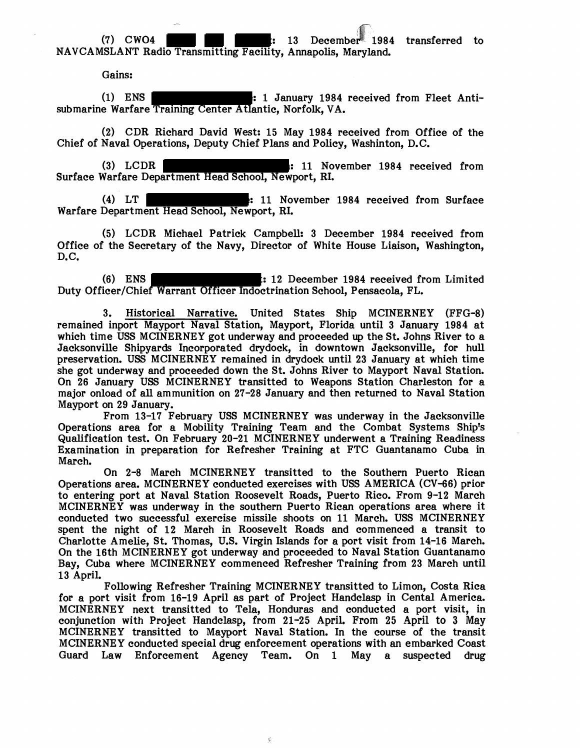$(7)$  CWO4  $\qquad \qquad$  : 13 December 1984 transferred to NAVCAMSLANT Radio Transmitting Facility, Annapolis, Maryland.

Gains:

(1) ENS : 1 January 1984 received from Fleet Antisubmarine Warfare Training Center Atlantic, Norfolk, VA.

(2) CDR Richard David West: 15 May 1984 received from Office of the Chief of Naval Operations, Deputy Chief Plans and Policy, Washinton, D.C.

(3) LCDR : 11 November 1984 received from Surface Warfare Department Head School, Newport, RI.

(4) LT : 11 November 1984 received from Surface Warfare Department Head School, Newport, RI.

(5) LCDR Michael Patrick Campbell: 3 December 1984 received from Office of the Secretary of the Navy, Director of White House Liaison, Washington, D. C.

(6) ENS : 12 December 1984 received from Limited Duty Officer/Chief Warrant Officer Indoctrination School, Pensacola, FL.

3. Historical Narrative. United States Ship MCINERNEY (FFG-8) remained inport Mayport Naval Station, Mayport, Florida until 3 January 1984 at which time USS MCINERNEY got underway and proceeded up the St. Johns River to a Jacksonville Shipyards incorporated drydock, in downtown Jacksonville, for hull preservation. USS MCINERNEY remained in drydock until 23 January at which time she got underway and proceeded down the St. Johns River to Mayport Naval Station. On 26 January USS MCINERNEY transitted to Weapons Station Charleston for a major onload of all ammunition on 27-28 January and then returned to Naval Station Mayport on 29 January.

From 13-17 February USS MCINERNEY was underway in the Jacksonville Operations area for a Mobility Training Team and the Combat Systems Ship's Qualification test. On February 20-21 MCINERNEY underwent a Training Readiness Examination in preparation for Refresher Training at FTC Guantanamo Cuba in March.

On 2-8 March MCINERNEY transitted to the Southern Puerto Rican Operations area. MCINERNEY conducted exercises with USS AMERICA (CV-66) prior to entering port at Naval Station Roosevelt Roads, Puerto Rico. From 9-12 March MCINERNEY was underway in the southern Puerto Rican operations area where it conducted two successful exercise missile shoots on 11 March. USS MCINERNEY spent the night of 12 March in Roosevelt Roads and commenced a transit to Charlotte Amelie, St. Thomas, U.S. Virgin Islands for a port visit from 14-16 March. On the 16th MCINERNEY got underway and proceeded to Naval Station Guantanamo Bay, Cuba where MCINERNEY commenced Refresher Training from 23 March until 13 April.

Following Refresher Training MCINERNEY transitted to Limon, Costa Rica for a port visit from 16-19 April as part of Project Handclasp in Cental America. MCINERNEY next transitted to Tela, Honduras and conducted a port visit, in conjunction with Project Handclasp, from 21-25 ApriL From 25 April to 3 **May**  MCINERNEY transitted to Mayport Naval Station. In the course of the transit MCINERNEY conducted special drug enforcement operations with an embarked Coast Guard Law Enforcement Agency Team. On 1 May a suspected drug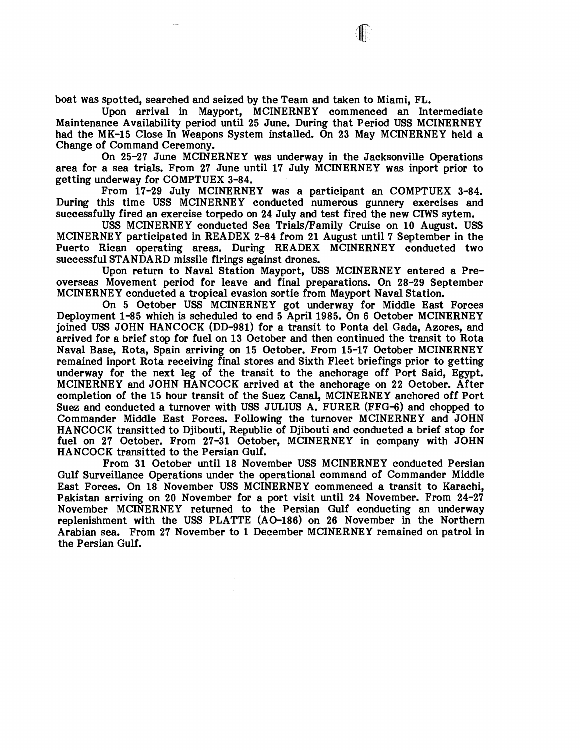boat was spotted, searched and seized by the Team and taken to Miami, PL.

Upon arrival in Mayport, MCINERNEY commenced an Intermediate Maintenance Availability period until 25 June. During that Period USS MCINERNEY had the MK-15 Close In Weapons System installed. On 23 May MCINERNEY held a Change of Command Ceremony.

On 25-27 June MCINERNEY was underway in the Jacksonville Operations area for a sea trials. From 27 June until 17 July MCINERNEY was inport prior to getting underway for COMPTUEX 3-84.

From 17-29 July MCINERNEY was a participant an COMPTUEX 3-84. During this time USS MCINERNEY conducted numerous gunnery exercises and successfully fired an exercise torpedo on 24 July and test fired the new CIWS sytem.

USS MCINERNEY conducted Sea Trials/Family Cruise on 10 August. USS MCINERNEY participated in READEX 2-84 from 21 August until 7 September in the Puerto Rican operating areas. During READEX MCINERNEY conducted two successful STANDARD missile firings against drones.

Upon return to Naval Station Mayport, USS MCINERNEY entered a Preoverseas Movement period for leave and final preparations. On 28-29 September MCINERNEY conducted a tropical evasion sortie from Mayport Naval Station.

On 5 October USS MCINERNEY got underway for Middle East Forces Deployment 1-85 which is scheduled to end 5 April 1985. On 6 October MCINERNEY joined USS JOHN HANCOCK (DD-981) for a transit to Ponta del Gada, Azores, and arrived for a brief stop for fuel on 13 October and then continued the transit to Rota Naval Base, Rota, Spain arriving on 15 October. Prom 15-17 October MCINERNEY remained inport Rota receiving final stores and Sixth Fleet briefings prior to getting underway for the next leg of the transit to the anchorage off Port Said, Egypt. MCINERNEY and JOHN HANCOCK arrived at the anchorage on 22 October. After completion of the 15 hour transit of the Suez Canal, MCINERNEY anchored off Port Suez and conducted a turnover with USS JULIUS A. PURER (FFG-6) and chopped to Commander Middle East Forces. Following the turnover MCINERNEY and JOHN HANCOCK transitted to Djibouti, Republic of Djibouti and conducted a brief stop for fuel on 27 October. From 27-31 October, MCINERNEY in company with JOHN HANCOCK transitted to the Persian Gulf.

From 31 October until 18 November USS MCINERNEY conducted Persian Gulf Surveillance Operations under the operational command of Commander Middle East Forces. On 18 November USS MCINERNEY commenced a transit to Karachi, Pakistan arriving on 20 November for a port visit until 24 November. From 24-27 November MCINERNEY returned to the Persian Gulf conducting an underway replenishment with the USS PLATTE (AO-186) on 26 November in the Northern Arabian sea. From 27 November to 1 December MCINERNEY remained on patrol in the Persian Gulf.